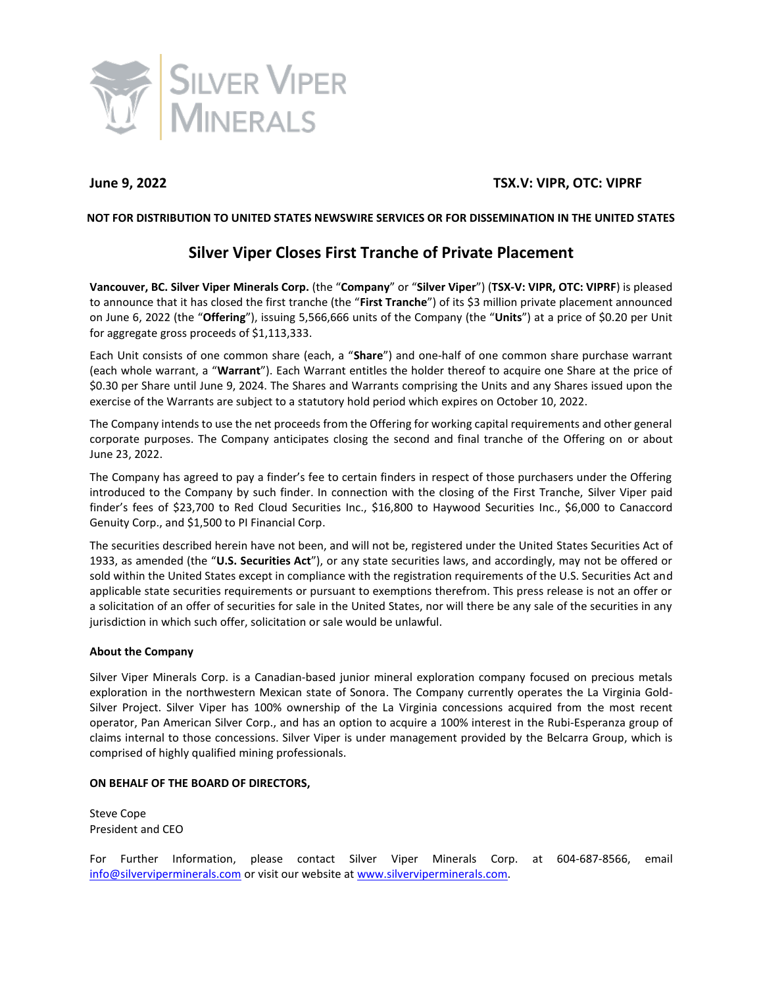

# **June 9, 2022 TSX.V: VIPR, OTC: VIPRF**

## **NOT FOR DISTRIBUTION TO UNITED STATES NEWSWIRE SERVICES OR FOR DISSEMINATION IN THE UNITED STATES**

# **Silver Viper Closes First Tranche of Private Placement**

**Vancouver, BC. Silver Viper Minerals Corp.** (the "**Company**" or "**Silver Viper**") (**TSX-V: VIPR, OTC: VIPRF**) is pleased to announce that it has closed the first tranche (the "**First Tranche**") of its \$3 million private placement announced on June 6, 2022 (the "**Offering**"), issuing 5,566,666 units of the Company (the "**Units**") at a price of \$0.20 per Unit for aggregate gross proceeds of \$1,113,333.

Each Unit consists of one common share (each, a "**Share**") and one-half of one common share purchase warrant (each whole warrant, a "**Warrant**"). Each Warrant entitles the holder thereof to acquire one Share at the price of \$0.30 per Share until June 9, 2024. The Shares and Warrants comprising the Units and any Shares issued upon the exercise of the Warrants are subject to a statutory hold period which expires on October 10, 2022.

The Company intends to use the net proceeds from the Offering for working capital requirements and other general corporate purposes. The Company anticipates closing the second and final tranche of the Offering on or about June 23, 2022.

The Company has agreed to pay a finder's fee to certain finders in respect of those purchasers under the Offering introduced to the Company by such finder. In connection with the closing of the First Tranche, Silver Viper paid finder's fees of \$23,700 to Red Cloud Securities Inc., \$16,800 to Haywood Securities Inc., \$6,000 to Canaccord Genuity Corp., and \$1,500 to PI Financial Corp.

The securities described herein have not been, and will not be, registered under the United States Securities Act of 1933, as amended (the "**U.S. Securities Act**"), or any state securities laws, and accordingly, may not be offered or sold within the United States except in compliance with the registration requirements of the U.S. Securities Act and applicable state securities requirements or pursuant to exemptions therefrom. This press release is not an offer or a solicitation of an offer of securities for sale in the United States, nor will there be any sale of the securities in any jurisdiction in which such offer, solicitation or sale would be unlawful.

## **About the Company**

Silver Viper Minerals Corp. is a Canadian-based junior mineral exploration company focused on precious metals exploration in the northwestern Mexican state of Sonora. The Company currently operates the La Virginia Gold-Silver Project. Silver Viper has 100% ownership of the La Virginia concessions acquired from the most recent operator, Pan American Silver Corp., and has an option to acquire a 100% interest in the Rubi-Esperanza group of claims internal to those concessions. Silver Viper is under management provided by the Belcarra Group, which is comprised of highly qualified mining professionals.

## **ON BEHALF OF THE BOARD OF DIRECTORS,**

Steve Cope President and CEO

For Further Information, please contact Silver Viper Minerals Corp. at 604-687-8566, email [info@silverviperminerals.com](mailto:info@silverviperminerals.com) or visit our website a[t www.silverviperminerals.com.](http://www.silverviperminerals.com/)